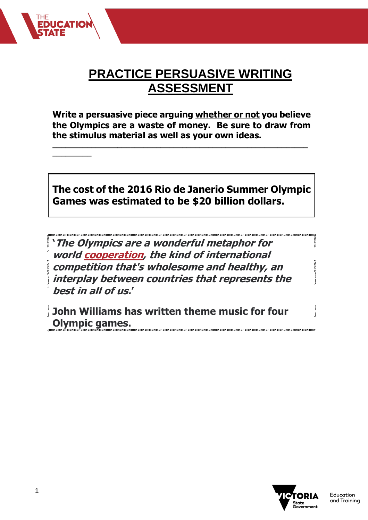

**Write a persuasive piece arguing whether or not you believe the Olympics are a waste of money. Be sure to draw from the stimulus material as well as your own ideas.**

**\_\_\_\_\_\_\_\_\_\_\_\_\_\_\_\_\_\_\_\_\_\_\_\_\_\_\_\_\_\_\_\_\_\_\_\_\_\_\_\_\_\_\_\_\_\_\_\_\_\_\_\_\_\_\_\_\_\_\_**

## **The cost of the 2016 Rio de Janerio Summer Olympic Games was estimated to be \$20 billion dollars.**

**'The Olympics are a wonderful metaphor for world [cooperation,](about:blank) the kind of international competition that's wholesome and healthy, an interplay between countries that represents the best in all of us.'** 

**John Williams has written theme music for four Olympic games.**



**\_\_\_\_\_\_\_\_\_**

**EDUCATI**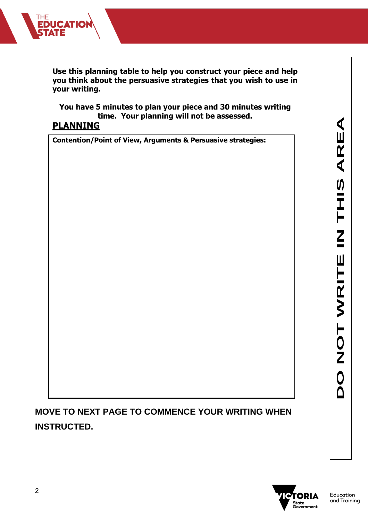

**Use this planning table to help you construct your piece and help you think about the persuasive strategies that you wish to use in your writing.**

**You have 5 minutes to plan your piece and 30 minutes writing time. Your planning will not be assessed.**

## **PLANNING**

**Contention/Point of View, Arguments & Persuasive strategies:**

**MOVE TO NEXT PAGE TO COMMENCE YOUR WRITING WHEN INSTRUCTED.**

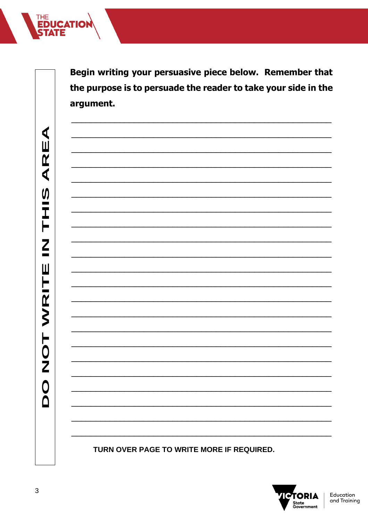THE<br>**EDUCATION** 

Begin writing your persuasive piece below. Remember that the purpose is to persuade the reader to take your side in the argument.

TURN OVER PAGE TO WRITE MORE IF REQUIRED.